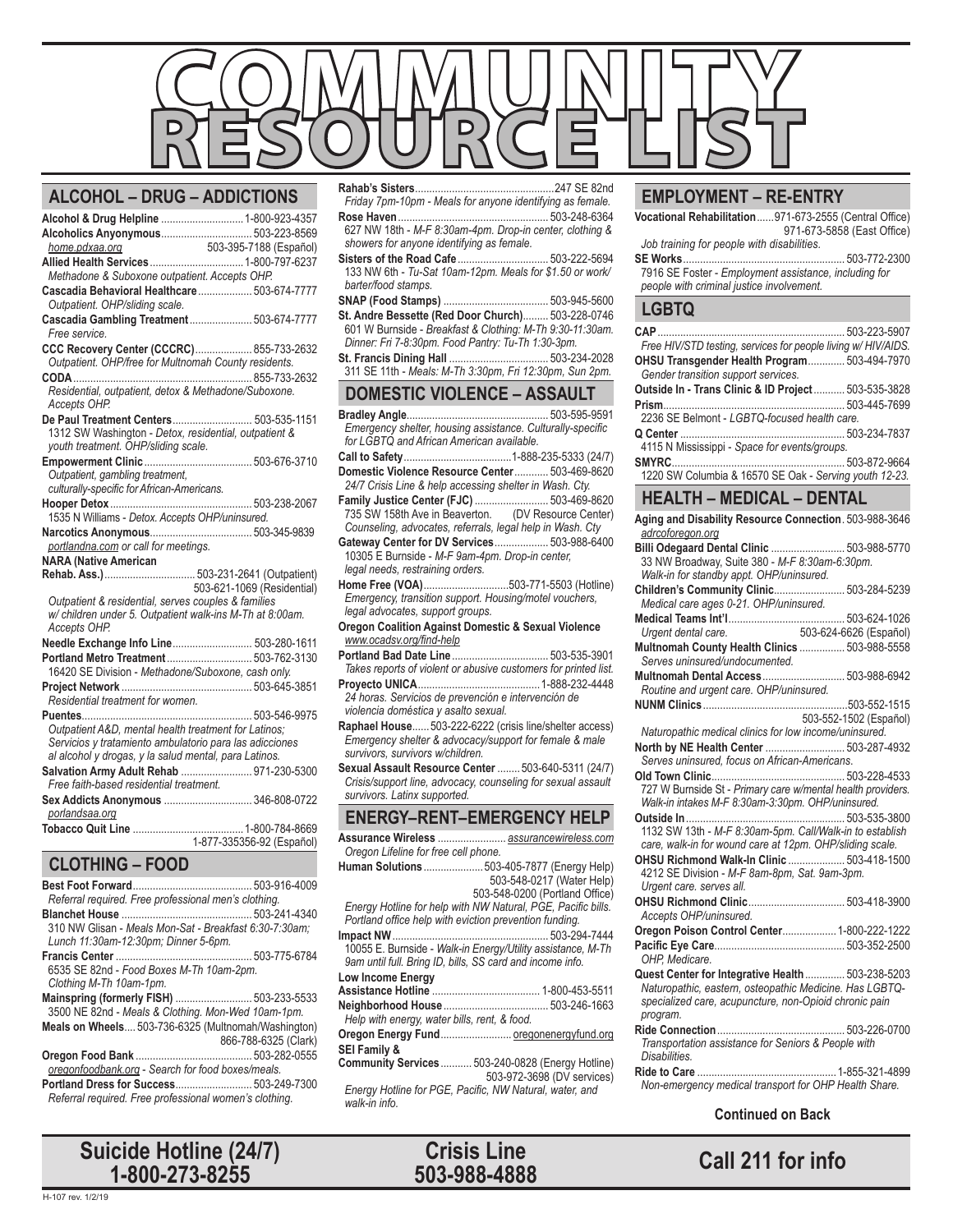

#### **ALCOHOL – DRUG – ADDICTIONS**

| Alcohol & Drug Helpline  1-800-923-4357                  |                            |
|----------------------------------------------------------|----------------------------|
| Alcoholics Anyonymous 503-223-8569                       |                            |
|                                                          |                            |
|                                                          |                            |
| Methadone & Suboxone outpatient. Accepts OHP.            |                            |
| Cascadia Behavioral Healthcare  503-674-7777             |                            |
| Outpatient. OHP/sliding scale.                           |                            |
| Cascadia Gambling Treatment 503-674-7777                 |                            |
| Free service.                                            |                            |
| CCC Recovery Center (CCCRC) 855-733-2632                 |                            |
| Outpatient. OHP/free for Multnomah County residents.     |                            |
|                                                          |                            |
| Residential, outpatient, detox & Methadone/Suboxone.     |                            |
| Accepts OHP.                                             |                            |
| De Paul Treatment Centers 503-535-1151                   |                            |
| 1312 SW Washington - Detox, residential, outpatient &    |                            |
| youth treatment. OHP/sliding scale.                      |                            |
|                                                          |                            |
| Outpatient, gambling treatment,                          |                            |
| culturally-specific for African-Americans.               |                            |
|                                                          |                            |
| 1535 N Williams - Detox. Accepts OHP/uninsured.          |                            |
|                                                          |                            |
| portlandna.com or call for meetings.                     |                            |
| <b>NARA (Native American</b>                             |                            |
|                                                          | 503-621-1069 (Residential) |
| Outpatient & residential, serves couples & families      |                            |
| w/ children under 5. Outpatient walk-ins M-Th at 8:00am. |                            |
| Accepts OHP.                                             |                            |
| Needle Exchange Info Line 503-280-1611                   |                            |
| Portland Metro Treatment 503-762-3130                    |                            |
| 16420 SE Division - Methadone/Suboxone, cash only.       |                            |
|                                                          |                            |
| Residential treatment for women.                         |                            |
|                                                          |                            |
| Outpatient A&D, mental health treatment for Latinos:     |                            |
| Servicios y tratamiento ambulatorio para las adicciones  |                            |
| al alcohol y drogas, y la salud mental, para Latinos.    |                            |
| Salvation Army Adult Rehab  971-230-5300                 |                            |
| Free faith-based residential treatment.                  |                            |
| Sex Addicts Anonymous  346-808-0722                      |                            |
| porlandsaa.org                                           |                            |
|                                                          |                            |
|                                                          | 1-877-335356-92 (Español)  |
| <b>CLOTHING - FOOD</b>                                   |                            |
|                                                          |                            |
|                                                          |                            |

| Referral required. Free professional men's clothing.   |                      |
|--------------------------------------------------------|----------------------|
|                                                        |                      |
| 310 NW Glisan - Meals Mon-Sat - Breakfast 6:30-7:30am: |                      |
| Lunch 11:30am-12:30pm; Dinner 5-6pm.                   |                      |
|                                                        |                      |
| 6535 SE 82nd - Food Boxes M-Th 10am-2pm.               |                      |
| Clothing M-Th 10am-1pm.                                |                      |
| Mainspring (formerly FISH)  503-233-5533               |                      |
| 3500 NE 82nd - Meals & Clothing. Mon-Wed 10am-1pm.     |                      |
| Meals on Wheels 503-736-6325 (Multnomah/Washington)    |                      |
|                                                        | 866-788-6325 (Clark) |
|                                                        |                      |
| oregonfoodbank.org - Search for food boxes/meals.      |                      |
| Portland Dress for Success 503-249-7300                |                      |
| Referral required. Free professional women's clothing. |                      |
|                                                        |                      |

**Call 211 for info Suicide Hotline (24/7) 1-800-273-8255**

**Rahab's Sisters**.................................................247 SE 82nd *Friday 7pm-10pm - Meals for anyone identifying as female.* **Rose Haven**..................................................... 503-248-6364

- 627 NW 18th *M-F 8:30am-4pm. Drop-in center, clothing & showers for anyone identifying as female.* **Sisters of the Road Cafe**................................ 503-222-5694
- 133 NW 6th *Tu-Sat 10am-12pm. Meals for \$1.50 or work/ barter/food stamps.*
- **SNAP (Food Stamps)** ..................................... 503-945-5600 **St. Andre Bessette (Red Door Church)**......... 503-228-0746 601 W Burnside - *Breakfast & Clothing: M-Th 9:30-11:30am.*
- *Dinner: Fri 7-8:30pm. Food Pantry: Tu-Th 1:30-3pm.* St. Francis Dining Hall ...
- 311 SE 11th *Meals: M-Th 3:30pm, Fri 12:30pm, Sun 2pm.*

# **DOMESTIC VIOLENCE – ASSAULT**

- **Bradley Angle**.................................................. 503-595-9591 *Emergency shelter, housing assistance. Culturally-specific for LGBTQ and African American available.*
- **Call to Safety**......................................1-888-235-5333 (24/7) **Domestic Violence Resource Center**............ 503-469-8620
- *24/7 Crisis Line & help accessing shelter in Wash. Cty.* **Family Justice Center (FJC)** .......................... 503-469-8620 735 SW 158th Ave in Beaverton. (DV Resource Center) *Counseling, advocates, referrals, legal help in Wash. Cty*
- **Gateway Center for DV Services**................... 503-988-6400 10305 E Burnside - *M-F 9am-4pm. Drop-in center, legal needs, restraining orders.*
- **Home Free (VOA)**..............................503-771-5503 (Hotline) *Emergency, transition support. Housing/motel vouchers, legal advocates, support groups.*
- **Oregon Coalition Against Domestic & Sexual Violence** *www.ocadsv.org/find-help*
- **Portland Bad Date Line**.................................. 503-535-3901 *Takes reports of violent or abusive customers for printed list.* **Proyecto UNICA**...........................................1-888-232-4448
- *24 horas. Servicios de prevención e intervención de violencia doméstica y asalto sexual.* **Raphael House**......503-222-6222 (crisis line/shelter access)
- *Emergency shelter & advocacy/support for female & male survivors, survivors w/children.*
- **Sexual Assault Resource Center** ........ 503-640-5311 (24/7) *Crisis/support line, advocacy, counseling for sexual assault survivors. Latinx supported.*

#### **ENERGY–RENT–EMERGENCY HELP**

- **Assurance Wireless** ........................ *assurancewireless.com Oregon Lifeline for free cell phone.*
- **Human Solutions**.....................503-405-7877 (Energy Help) 503-548-0217 (Water Help) 503-548-0200 (Portland Office) *Energy Hotline for help with NW Natural, PGE, Pacific bills. Portland office help with eviction prevention funding.* **Impact NW**....................................................... 503-294-7444
- 10055 E. Burnside *Walk-in Energy/Utility assistance, M-Th 9am until full. Bring ID, bills, SS card and income info.* **Low Income Energy**
- **Assistance Hotline** ...................................... 1-800-453-5511 **Neighborhood House**..................................... 503-246-1663 *Help with energy, water bills, rent, & food.*
- **Oregon Energy Fund**......................... oregonenergyfund.org **SEI Family &**
- **Community Services**........... 503-240-0828 (Energy Hotline) 503-972-3698 (DV services) *Energy Hotline for PGE, Pacific, NW Natural, water, and walk-in info.*



# **EMPLOYMENT – RE-ENTRY**

**Vocational Rehabilitation**......971-673-2555 (Central Office) 971-673-5858 (East Office) *Job training for people with disabilities.*

- 
- **SE Works**......................................................... 503-772-2300 7916 SE Foster - *Employment assistance, including for people with criminal justice involvement.*

## **LGBTQ**

| Free HIV/STD testing, services for people living w/ HIV/AIDS.                                                |  |
|--------------------------------------------------------------------------------------------------------------|--|
| OHSU Transgender Health Program 503-494-7970                                                                 |  |
| Gender transition support services.                                                                          |  |
| Outside In - Trans Clinic & ID Project  503-535-3828                                                         |  |
|                                                                                                              |  |
| 2236 SE Belmont - LGBTQ-focused health care.                                                                 |  |
| 4115 N Mississippi - Space for events/groups.                                                                |  |
|                                                                                                              |  |
| 1220 SW Columbia & 16570 SE Oak - Serving youth 12-23.                                                       |  |
|                                                                                                              |  |
| <b>HEALTH - MEDICAL - DENTAL</b>                                                                             |  |
| Aging and Disability Resource Connection. 503-988-3646                                                       |  |
| adrcoforegon.org                                                                                             |  |
| Billi Odegaard Dental Clinic  503-988-5770                                                                   |  |
| 33 NW Broadway, Suite 380 - M-F 8.30am-6.30pm.                                                               |  |
| Walk-in for standby appt. OHP/uninsured.                                                                     |  |
| Children's Community Clinic 503-284-5239                                                                     |  |
| Medical care ages 0-21. OHP/uninsured.                                                                       |  |
| 503-624-6626 (Español)                                                                                       |  |
| Urgent dental care.<br>Multnomah County Health Clinics  503-988-5558                                         |  |
| Serves uninsured/undocumented.                                                                               |  |
| Multnomah Dental Access  503-988-6942                                                                        |  |
| Routine and urgent care. OHP/uninsured.                                                                      |  |
|                                                                                                              |  |
| 503-552-1502 (Español)                                                                                       |  |
| Naturopathic medical clinics for low income/uninsured.                                                       |  |
| North by NE Health Center  503-287-4932                                                                      |  |
| Serves uninsured, focus on African-Americans.                                                                |  |
| 727 W Burnside St - Primary care w/mental health providers.                                                  |  |
| Walk-in intakes M-F 8:30am-3:30pm. OHP/uninsured.                                                            |  |
|                                                                                                              |  |
| 1132 SW 13th - M-F 8:30am-5pm. Call/Walk-in to establish                                                     |  |
| care, walk-in for wound care at 12pm. OHP/sliding scale.                                                     |  |
| OHSU Richmond Walk-In Clinic  503-418-1500                                                                   |  |
| 4212 SE Division - M-F 8am-8pm, Sat. 9am-3pm.                                                                |  |
| Urgent care. serves all.                                                                                     |  |
|                                                                                                              |  |
| Accepts OHP/uninsured.                                                                                       |  |
| Oregon Poison Control Center 1-800-222-1222                                                                  |  |
|                                                                                                              |  |
| OHP, Medicare.                                                                                               |  |
| Quest Center for Integrative Health  503-238-5203<br>Naturopathic, eastern, osteopathic Medicine. Has LGBTQ- |  |
| specialized care, acupuncture, non-Opioid chronic pain                                                       |  |
| program.                                                                                                     |  |
|                                                                                                              |  |
| Transportation assistance for Seniors & People with                                                          |  |
| Disabilities.                                                                                                |  |
|                                                                                                              |  |
| Non-emergency medical transport for OHP Health Share.                                                        |  |

#### **Continued on Back**